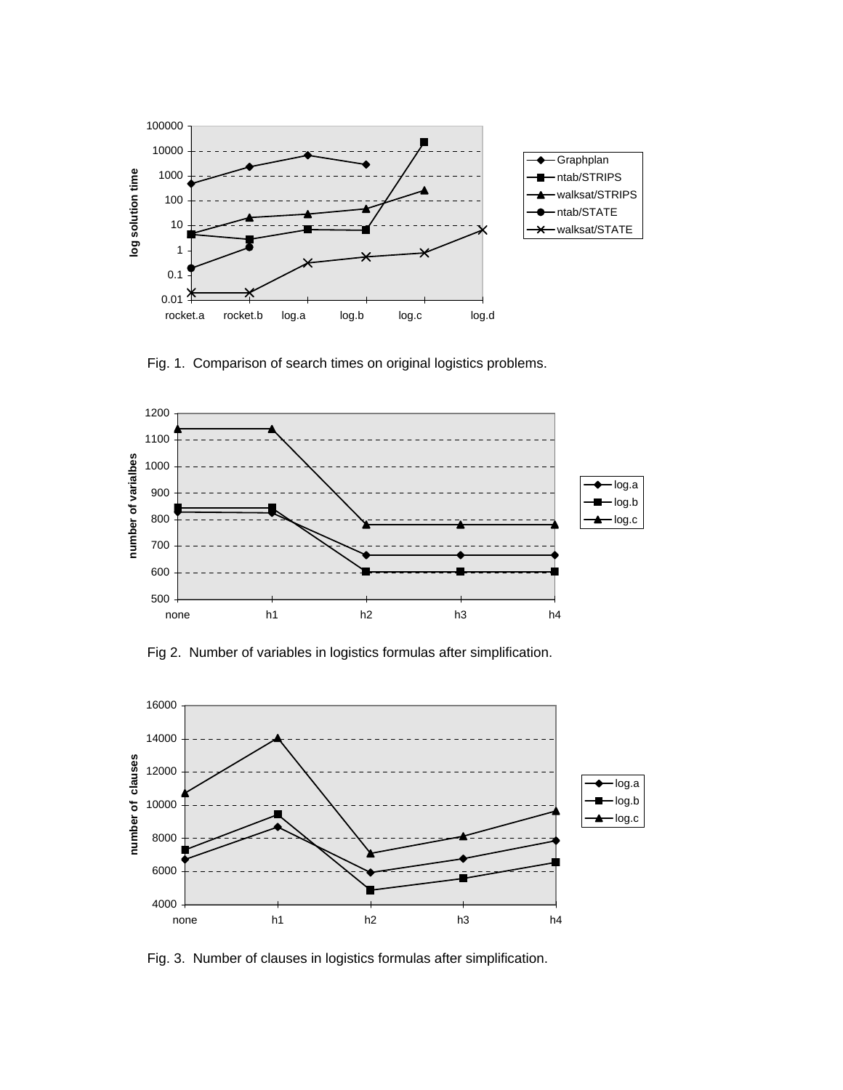

Fig. 1. Comparison of search times on original logistics problems.



Fig 2. Number of variables in logistics formulas after simplification.



Fig. 3. Number of clauses in logistics formulas after simplification.